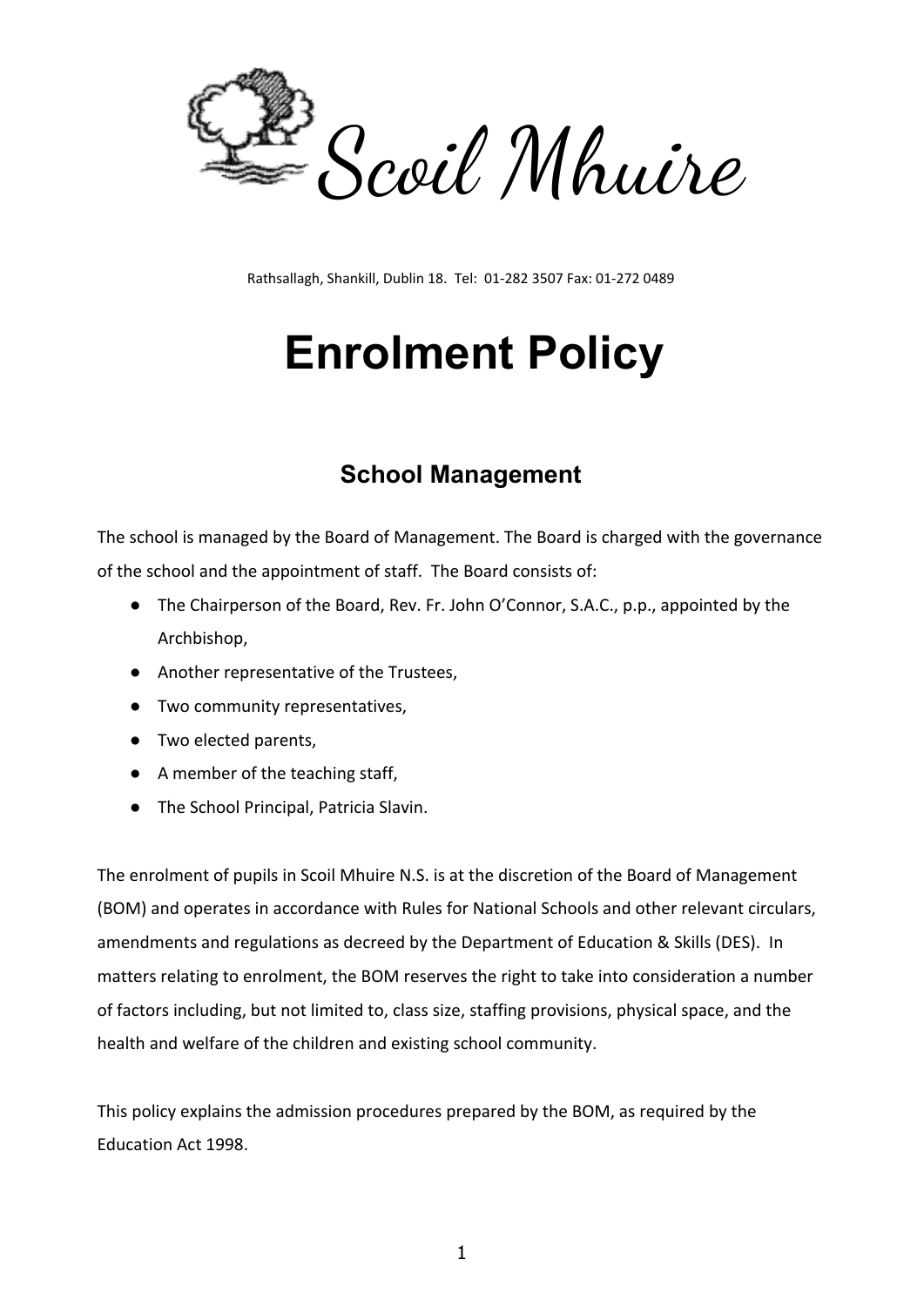

Rathsallagh, Shankill, Dublin 18. Tel: 01-282 3507 Fax: 01-272 0489

# **Enrolment Policy**

#### **School Management**

The school is managed by the Board of Management. The Board is charged with the governance of the school and the appointment of staff. The Board consists of:

- The Chairperson of the Board, Rev. Fr. John O'Connor, S.A.C., p.p., appointed by the Archbishop,
- Another representative of the Trustees,
- Two community representatives,
- Two elected parents,
- A member of the teaching staff,
- The School Principal, Patricia Slavin.

The enrolment of pupils in Scoil Mhuire N.S. is at the discretion of the Board of Management (BOM) and operates in accordance with Rules for National Schools and other relevant circulars, amendments and regulations as decreed by the Department of Education & Skills (DES). In matters relating to enrolment, the BOM reserves the right to take into consideration a number of factors including, but not limited to, class size, staffing provisions, physical space, and the health and welfare of the children and existing school community.

This policy explains the admission procedures prepared by the BOM, as required by the Education Act 1998.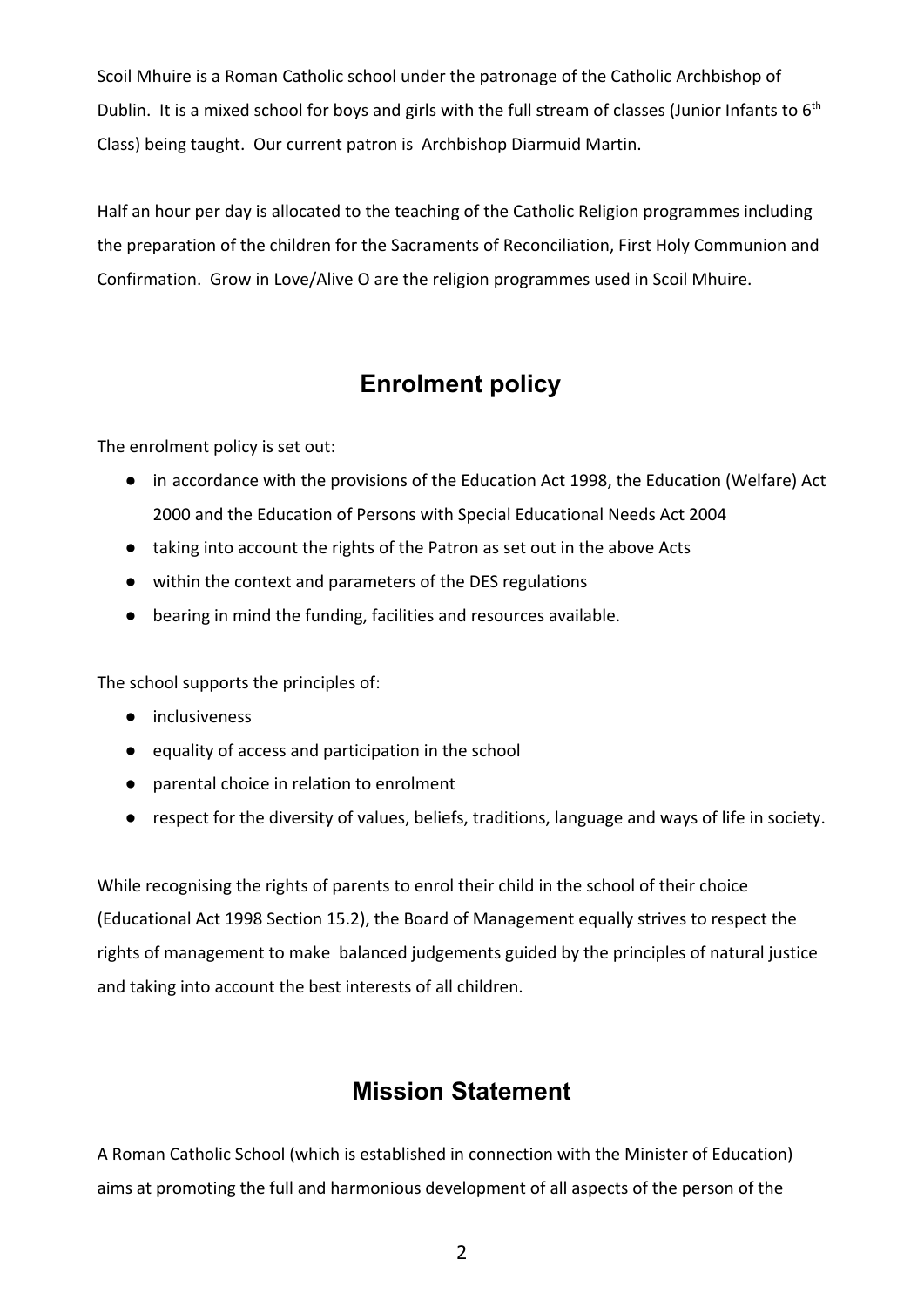Scoil Mhuire is a Roman Catholic school under the patronage of the Catholic Archbishop of Dublin. It is a mixed school for boys and girls with the full stream of classes (Junior Infants to  $6<sup>th</sup>$ Class) being taught. Our current patron is Archbishop Diarmuid Martin.

Half an hour per day is allocated to the teaching of the Catholic Religion programmes including the preparation of the children for the Sacraments of Reconciliation, First Holy Communion and Confirmation. Grow in Love/Alive O are the religion programmes used in Scoil Mhuire.

### **Enrolment policy**

The enrolment policy is set out:

- in accordance with the provisions of the Education Act 1998, the Education (Welfare) Act 2000 and the Education of Persons with Special Educational Needs Act 2004
- taking into account the rights of the Patron as set out in the above Acts
- within the context and parameters of the DES regulations
- bearing in mind the funding, facilities and resources available.

The school supports the principles of:

- inclusiveness
- equality of access and participation in the school
- parental choice in relation to enrolment
- respect for the diversity of values, beliefs, traditions, language and ways of life in society.

While recognising the rights of parents to enrol their child in the school of their choice (Educational Act 1998 Section 15.2), the Board of Management equally strives to respect the rights of management to make balanced judgements guided by the principles of natural justice and taking into account the best interests of all children.

#### **Mission Statement**

A Roman Catholic School (which is established in connection with the Minister of Education) aims at promoting the full and harmonious development of all aspects of the person of the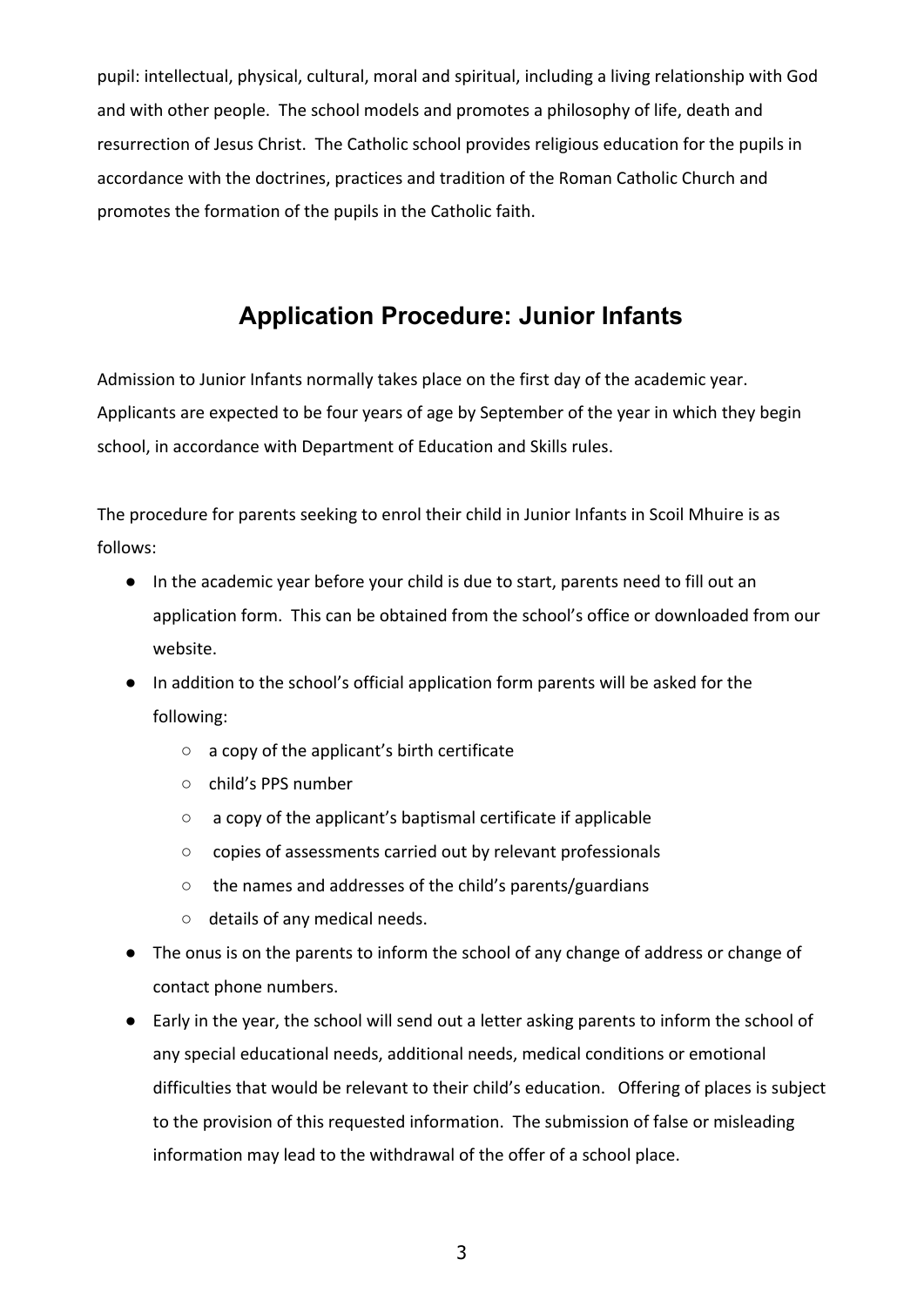pupil: intellectual, physical, cultural, moral and spiritual, including a living relationship with God and with other people. The school models and promotes a philosophy of life, death and resurrection of Jesus Christ. The Catholic school provides religious education for the pupils in accordance with the doctrines, practices and tradition of the Roman Catholic Church and promotes the formation of the pupils in the Catholic faith.

### **Application Procedure: Junior Infants**

Admission to Junior Infants normally takes place on the first day of the academic year. Applicants are expected to be four years of age by September of the year in which they begin school, in accordance with Department of Education and Skills rules.

The procedure for parents seeking to enrol their child in Junior Infants in Scoil Mhuire is as follows:

- In the academic year before your child is due to start, parents need to fill out an application form. This can be obtained from the school's office or downloaded from our website.
- In addition to the school's official application form parents will be asked for the following:
	- a copy of the applicant's birth certificate
	- child's PPS number
	- a copy of the applicant's baptismal certificate if applicable
	- copies of assessments carried out by relevant professionals
	- the names and addresses of the child's parents/guardians
	- details of any medical needs.
- The onus is on the parents to inform the school of any change of address or change of contact phone numbers.
- Early in the year, the school will send out a letter asking parents to inform the school of any special educational needs, additional needs, medical conditions or emotional difficulties that would be relevant to their child's education. Offering of places is subject to the provision of this requested information. The submission of false or misleading information may lead to the withdrawal of the offer of a school place.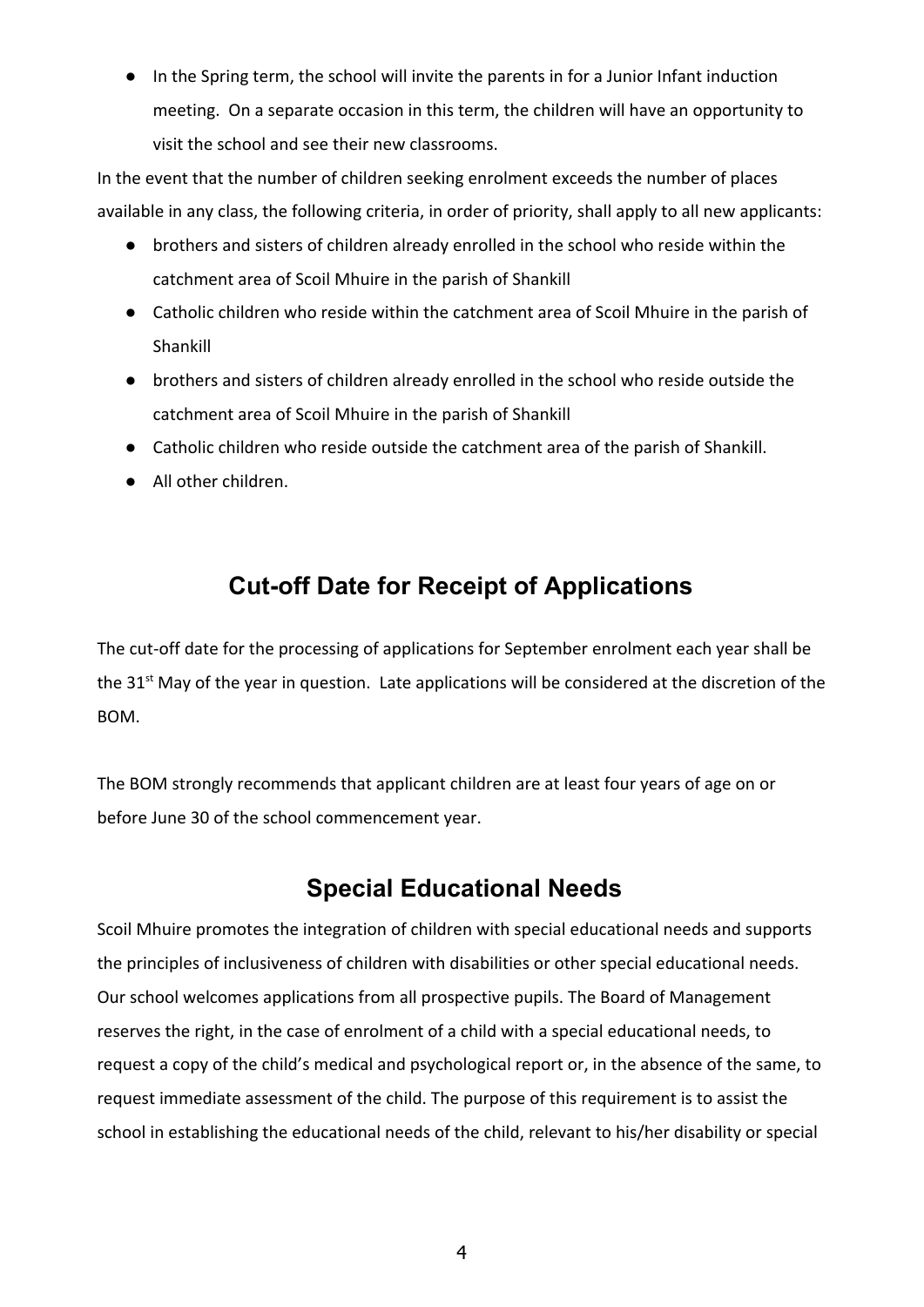● In the Spring term, the school will invite the parents in for a Junior Infant induction meeting. On a separate occasion in this term, the children will have an opportunity to visit the school and see their new classrooms.

In the event that the number of children seeking enrolment exceeds the number of places available in any class, the following criteria, in order of priority, shall apply to all new applicants:

- brothers and sisters of children already enrolled in the school who reside within the catchment area of Scoil Mhuire in the parish of Shankill
- Catholic children who reside within the catchment area of Scoil Mhuire in the parish of Shankill
- brothers and sisters of children already enrolled in the school who reside outside the catchment area of Scoil Mhuire in the parish of Shankill
- Catholic children who reside outside the catchment area of the parish of Shankill.
- All other children.

## **Cut-off Date for Receipt of Applications**

The cut-off date for the processing of applications for September enrolment each year shall be the 31<sup>st</sup> May of the year in question. Late applications will be considered at the discretion of the BOM.

The BOM strongly recommends that applicant children are at least four years of age on or before June 30 of the school commencement year.

#### **Special Educational Needs**

Scoil Mhuire promotes the integration of children with special educational needs and supports the principles of inclusiveness of children with disabilities or other special educational needs. Our school welcomes applications from all prospective pupils. The Board of Management reserves the right, in the case of enrolment of a child with a special educational needs, to request a copy of the child's medical and psychological report or, in the absence of the same, to request immediate assessment of the child. The purpose of this requirement is to assist the school in establishing the educational needs of the child, relevant to his/her disability or special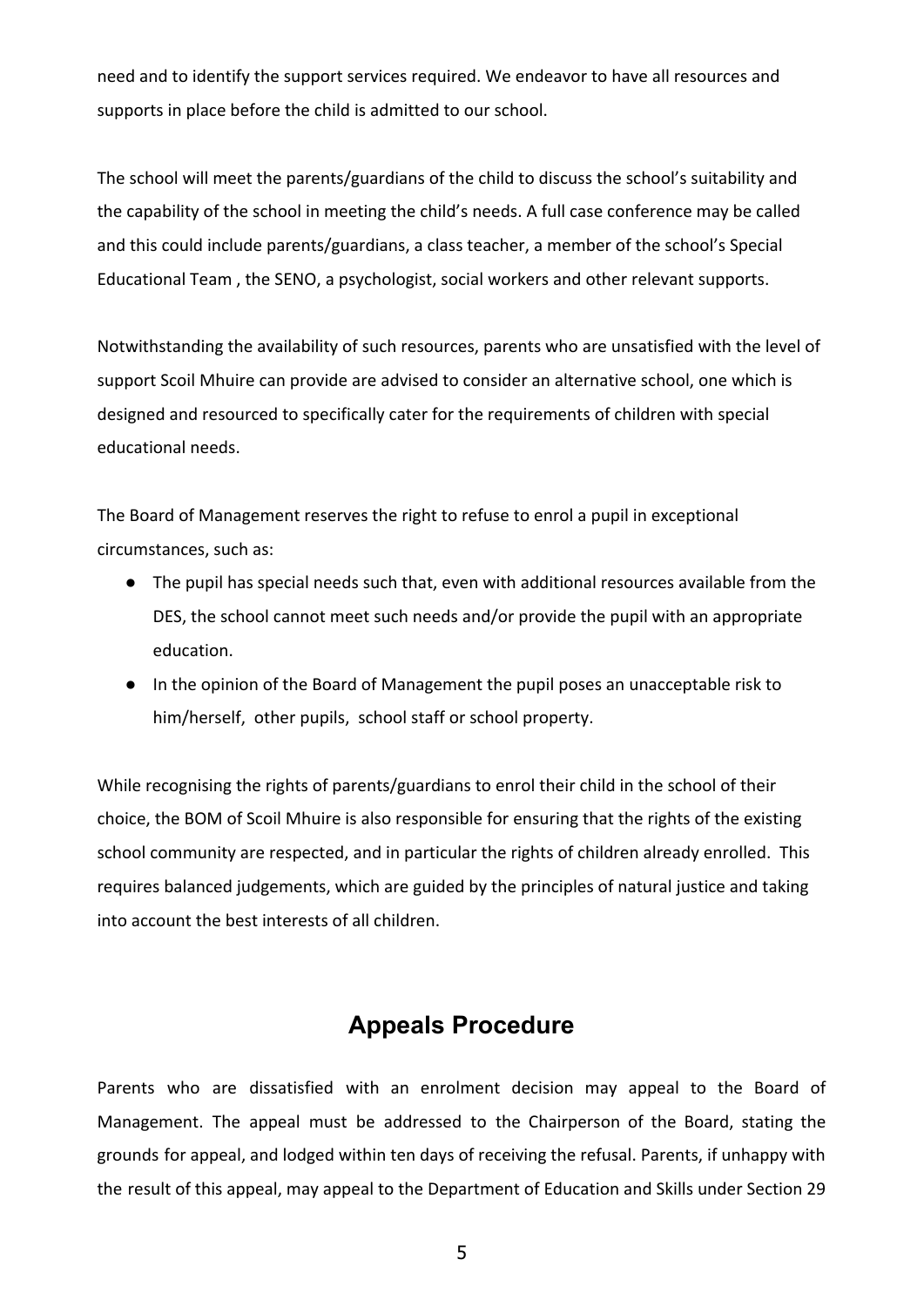need and to identify the support services required. We endeavor to have all resources and supports in place before the child is admitted to our school.

The school will meet the parents/guardians of the child to discuss the school's suitability and the capability of the school in meeting the child's needs. A full case conference may be called and this could include parents/guardians, a class teacher, a member of the school's Special Educational Team , the SENO, a psychologist, social workers and other relevant supports.

Notwithstanding the availability of such resources, parents who are unsatisfied with the level of support Scoil Mhuire can provide are advised to consider an alternative school, one which is designed and resourced to specifically cater for the requirements of children with special educational needs.

The Board of Management reserves the right to refuse to enrol a pupil in exceptional circumstances, such as:

- The pupil has special needs such that, even with additional resources available from the DES, the school cannot meet such needs and/or provide the pupil with an appropriate education.
- In the opinion of the Board of Management the pupil poses an unacceptable risk to him/herself, other pupils, school staff or school property.

While recognising the rights of parents/guardians to enrol their child in the school of their choice, the BOM of Scoil Mhuire is also responsible for ensuring that the rights of the existing school community are respected, and in particular the rights of children already enrolled. This requires balanced judgements, which are guided by the principles of natural justice and taking into account the best interests of all children.

#### **Appeals Procedure**

Parents who are dissatisfied with an enrolment decision may appeal to the Board of Management. The appeal must be addressed to the Chairperson of the Board, stating the grounds for appeal, and lodged within ten days of receiving the refusal. Parents, if unhappy with the result of this appeal, may appeal to the Department of Education and Skills under Section 29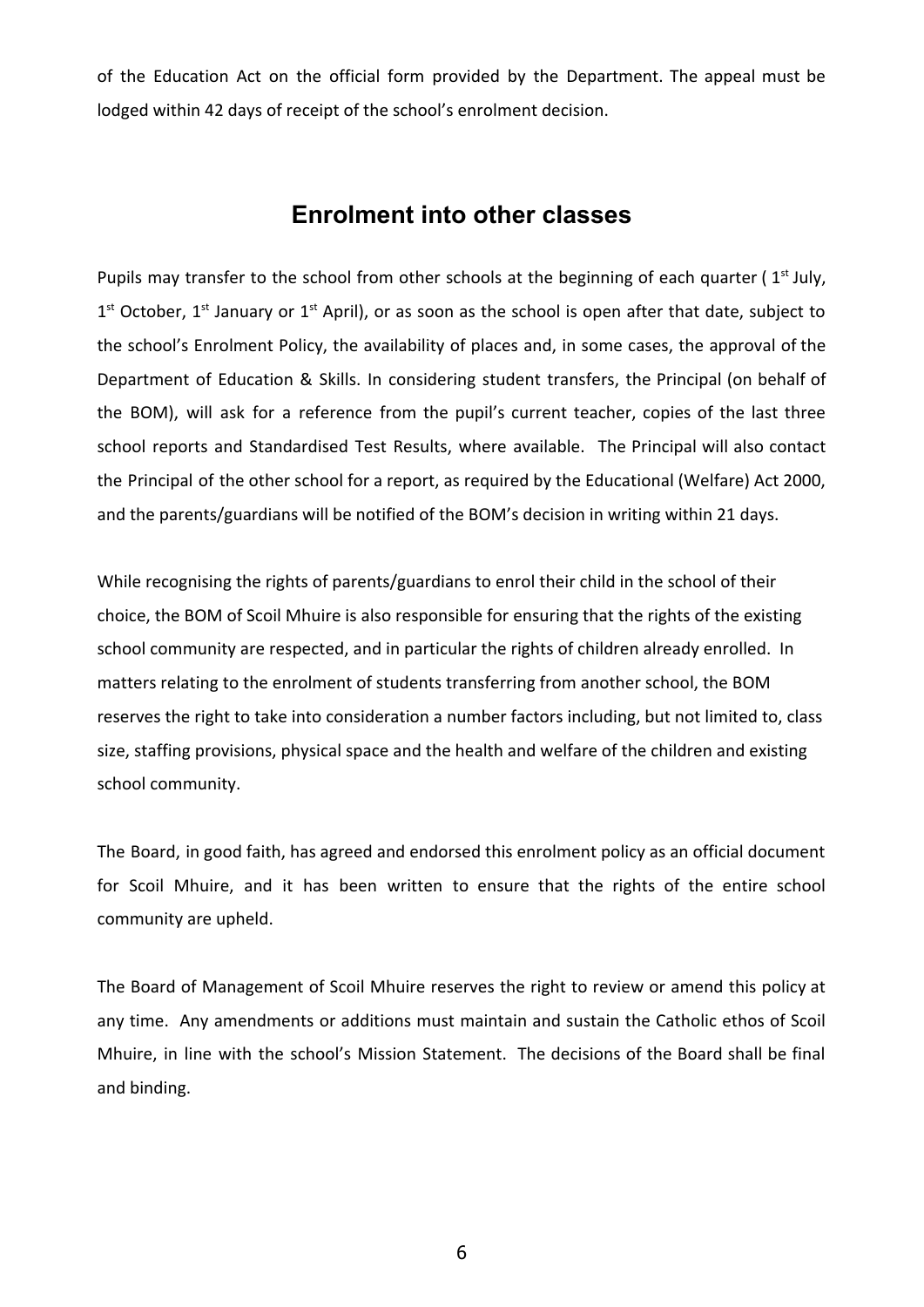of the Education Act on the official form provided by the Department. The appeal must be lodged within 42 days of receipt of the school's enrolment decision.

#### **Enrolment into other classes**

Pupils may transfer to the school from other schools at the beginning of each quarter ( $1<sup>st</sup>$  July,  $1<sup>st</sup>$  October,  $1<sup>st</sup>$  January or  $1<sup>st</sup>$  April), or as soon as the school is open after that date, subject to the school's Enrolment Policy, the availability of places and, in some cases, the approval of the Department of Education & Skills. In considering student transfers, the Principal (on behalf of the BOM), will ask for a reference from the pupil's current teacher, copies of the last three school reports and Standardised Test Results, where available. The Principal will also contact the Principal of the other school for a report, as required by the Educational (Welfare) Act 2000, and the parents/guardians will be notified of the BOM's decision in writing within 21 days.

While recognising the rights of parents/guardians to enrol their child in the school of their choice, the BOM of Scoil Mhuire is also responsible for ensuring that the rights of the existing school community are respected, and in particular the rights of children already enrolled. In matters relating to the enrolment of students transferring from another school, the BOM reserves the right to take into consideration a number factors including, but not limited to, class size, staffing provisions, physical space and the health and welfare of the children and existing school community.

The Board, in good faith, has agreed and endorsed this enrolment policy as an official document for Scoil Mhuire, and it has been written to ensure that the rights of the entire school community are upheld.

The Board of Management of Scoil Mhuire reserves the right to review or amend this policy at any time. Any amendments or additions must maintain and sustain the Catholic ethos of Scoil Mhuire, in line with the school's Mission Statement. The decisions of the Board shall be final and binding.